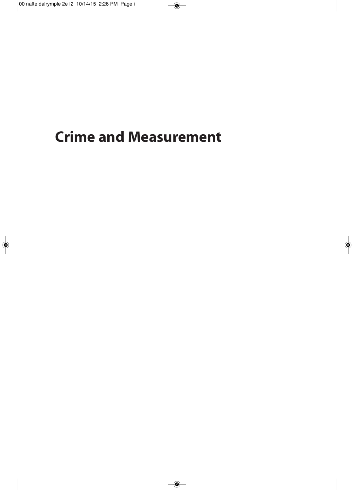# **Crime and Measurement**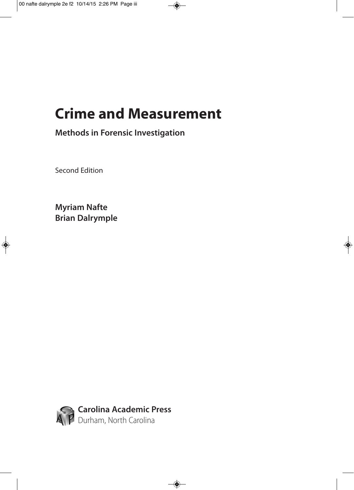# **Crime and Measurement**

**Methods in Forensic Investigation**

Second Edition

**Myriam Nafte Brian Dalrymple**

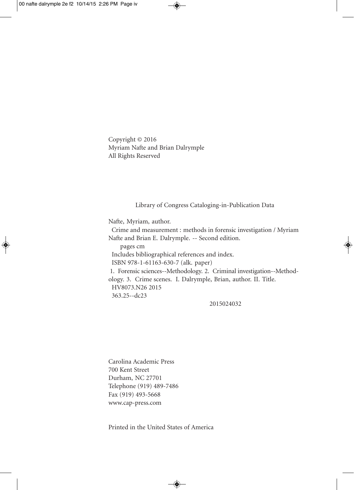Copyright © 2016 Myriam Nafte and Brian Dalrymple All Rights Reserved

Library of Congress Cataloging-in-Publication Data

Nafte, Myriam, author.

Crime and measurement : methods in forensic investigation / Myriam Nafte and Brian E. Dalrymple. -- Second edition. pages cm Includes bibliographical references and index. ISBN 978-1-61163-630-7 (alk. paper) 1. Forensic sciences--Methodology. 2. Criminal investigation--Method-

ology. 3. Crime scenes. I. Dalrymple, Brian, author. II. Title. HV8073.N26 2015 363.25--dc23

2015024032

Carolina Academic Press 700 Kent Street Durham, NC 27701 Telephone (919) 489-7486 Fax (919) 493-5668 www.cap-press.com

Printed in the United States of America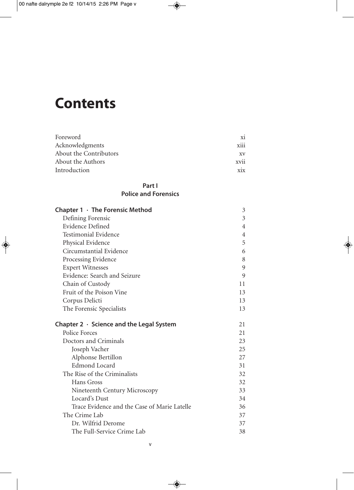## **Contents**

| Foreword               | xi               |
|------------------------|------------------|
| Acknowledgments        | $\cdots$<br>X111 |
| About the Contributors | <b>XV</b>        |
| About the Authors      | <b>XV11</b>      |
| Introduction           | X1X              |

**Part I**

#### **Police and Forensics**

| Chapter $1 \cdot$ The Forensic Method          | 3  |
|------------------------------------------------|----|
| Defining Forensic                              | 3  |
| Evidence Defined                               | 4  |
| <b>Testimonial Evidence</b>                    | 4  |
| Physical Evidence                              | 5  |
| Circumstantial Evidence                        | 6  |
| Processing Evidence                            | 8  |
| <b>Expert Witnesses</b>                        | 9  |
| Evidence: Search and Seizure                   | 9  |
| Chain of Custody                               | 11 |
| Fruit of the Poison Vine                       | 13 |
| Corpus Delicti                                 | 13 |
| The Forensic Specialists                       | 13 |
|                                                |    |
| Chapter $2 \cdot$ Science and the Legal System | 21 |
| Police Forces                                  | 21 |
| Doctors and Criminals                          | 23 |
| Joseph Vacher                                  | 25 |
| Alphonse Bertillon                             | 27 |
| <b>Edmond Locard</b>                           | 31 |
| The Rise of the Criminalists                   | 32 |
| Hans Gross                                     | 32 |
| Nineteenth Century Microscopy                  | 33 |
| Locard's Dust                                  | 34 |
| Trace Evidence and the Case of Marie Latelle   | 36 |
| The Crime Lab                                  | 37 |
| Dr. Wilfrid Derome                             | 37 |
| The Full-Service Crime Lab                     | 38 |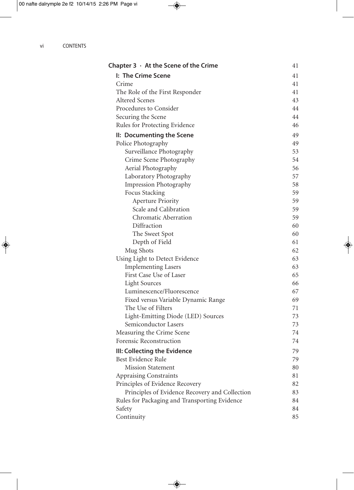| Chapter $3 \cdot At$ the Scene of the Crime    | 41 |
|------------------------------------------------|----|
| I: The Crime Scene                             | 41 |
| Crime                                          | 41 |
| The Role of the First Responder                | 41 |
| <b>Altered Scenes</b>                          | 43 |
| Procedures to Consider                         | 44 |
| Securing the Scene                             | 44 |
| Rules for Protecting Evidence                  | 46 |
| II: Documenting the Scene                      | 49 |
| Police Photography                             | 49 |
| Surveillance Photography                       | 53 |
| Crime Scene Photography                        | 54 |
| Aerial Photography                             | 56 |
| Laboratory Photography                         | 57 |
| Impression Photography                         | 58 |
| <b>Focus Stacking</b>                          | 59 |
| Aperture Priority                              | 59 |
| Scale and Calibration                          | 59 |
| Chromatic Aberration                           | 59 |
| Diffraction                                    | 60 |
| The Sweet Spot                                 | 60 |
| Depth of Field                                 | 61 |
| Mug Shots                                      | 62 |
| Using Light to Detect Evidence                 | 63 |
| <b>Implementing Lasers</b>                     | 63 |
| First Case Use of Laser                        | 65 |
| <b>Light Sources</b>                           | 66 |
| Luminescence/Fluorescence                      | 67 |
| Fixed versus Variable Dynamic Range            | 69 |
| The Use of Filters                             | 71 |
| Light-Emitting Diode (LED) Sources             | 73 |
| Semiconductor Lasers                           | 73 |
| Measuring the Crime Scene                      | 74 |
| Forensic Reconstruction                        | 74 |
| III: Collecting the Evidence                   | 79 |
| Best Evidence Rule                             | 79 |
| <b>Mission Statement</b>                       | 80 |
| <b>Appraising Constraints</b>                  | 81 |
| Principles of Evidence Recovery                | 82 |
| Principles of Evidence Recovery and Collection | 83 |
| Rules for Packaging and Transporting Evidence  | 84 |
| Safety                                         | 84 |
| Continuity                                     | 85 |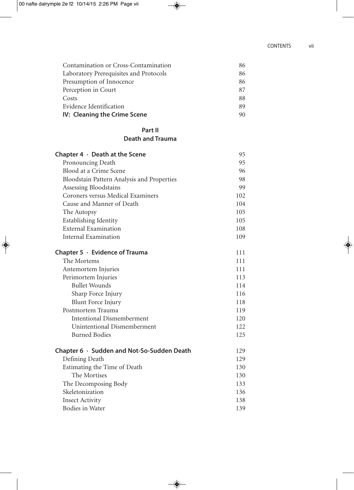| Contamination or Cross-Contamination   | 86 |
|----------------------------------------|----|
| Laboratory Prerequisites and Protocols | 86 |
| Presumption of Innocence               | 86 |
| Perception in Court                    | 87 |
| Costs                                  | 88 |
| Evidence Identification                | 89 |
| IV: Cleaning the Crime Scene           | 90 |

#### **Part II**

#### **Death and Trauma**

| Chapter $4 \cdot$ Death at the Scene       | 95  |
|--------------------------------------------|-----|
| Pronouncing Death                          | 95  |
| Blood at a Crime Scene                     | 96  |
| Bloodstain Pattern Analysis and Properties | 98  |
| Assessing Bloodstains                      | 99  |
| Coroners versus Medical Examiners          | 102 |
| Cause and Manner of Death                  | 104 |
| The Autopsy                                | 105 |
| Establishing Identity                      | 105 |
| <b>External Examination</b>                | 108 |
| Internal Examination                       | 109 |
|                                            |     |

#### **Chapter 5 · Evidence of Trauma** 111

| The Mortems                 | 111 |
|-----------------------------|-----|
| Antemortem Injuries         | 111 |
| Perimortem Injuries         | 113 |
| <b>Bullet Wounds</b>        | 114 |
| Sharp Force Injury          | 116 |
| <b>Blunt Force Injury</b>   | 118 |
| Postmortem Trauma           | 119 |
| Intentional Dismemberment   | 120 |
| Unintentional Dismemberment | 122 |
| <b>Burned Bodies</b>        | 125 |
|                             |     |

| Chapter 6 · Sudden and Not-So-Sudden Death | 129 |
|--------------------------------------------|-----|
| Defining Death                             | 129 |
| Estimating the Time of Death               | 130 |
| The Mortises                               | 130 |
| The Decomposing Body                       | 133 |
| Skeletonization                            | 136 |
| <b>Insect Activity</b>                     | 138 |
| Bodies in Water                            | 139 |
|                                            |     |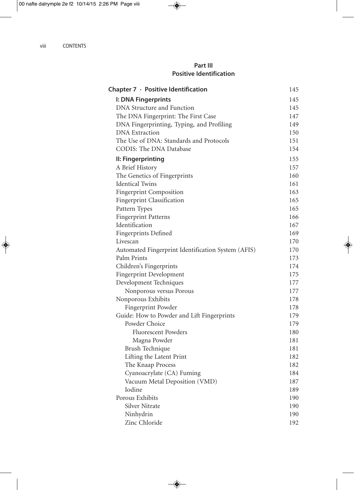| Part III                       |
|--------------------------------|
| <b>Positive Identification</b> |

| Chapter $7 \cdot$ Positive Identification          | 145 |
|----------------------------------------------------|-----|
| I: DNA Fingerprints                                | 145 |
| DNA Structure and Function                         | 145 |
| The DNA Fingerprint: The First Case                | 147 |
| DNA Fingerprinting, Typing, and Profiling          | 149 |
| <b>DNA</b> Extraction                              | 150 |
| The Use of DNA: Standards and Protocols            | 151 |
| CODIS: The DNA Database                            | 154 |
| II: Fingerprinting                                 | 155 |
| A Brief History                                    | 157 |
| The Genetics of Fingerprints                       | 160 |
| <b>Identical Twins</b>                             | 161 |
| <b>Fingerprint Composition</b>                     | 163 |
| Fingerprint Classification                         | 165 |
| Pattern Types                                      | 165 |
| <b>Fingerprint Patterns</b>                        | 166 |
| Identification                                     | 167 |
| <b>Fingerprints Defined</b>                        | 169 |
| Livescan                                           | 170 |
| Automated Fingerprint Identification System (AFIS) | 170 |
| Palm Prints                                        | 173 |
| Children's Fingerprints                            | 174 |
| <b>Fingerprint Development</b>                     | 175 |
| Development Techniques                             | 177 |
| Nonporous versus Porous                            | 177 |
| Nonporous Exhibits                                 | 178 |
| Fingerprint Powder                                 | 178 |
| Guide: How to Powder and Lift Fingerprints         | 179 |
| Powder Choice                                      | 179 |
| <b>Fluorescent Powders</b>                         | 180 |
| Magna Powder                                       | 181 |
| Brush Technique                                    | 181 |
| Lifting the Latent Print                           | 182 |
| The Knaap Process                                  | 182 |
| Cyanoacrylate (CA) Fuming                          | 184 |
| Vacuum Metal Deposition (VMD)                      | 187 |
| Iodine                                             | 189 |
| Porous Exhibits                                    | 190 |
| <b>Silver Nitrate</b>                              | 190 |
| Ninhydrin                                          | 190 |
| Zinc Chloride                                      | 192 |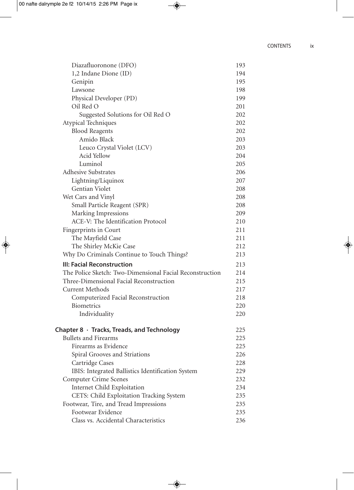| Diazafluoronone (DFO)                                      | 193 |
|------------------------------------------------------------|-----|
| 1,2 Indane Dione (ID)                                      | 194 |
| Genipin                                                    | 195 |
| Lawsone                                                    | 198 |
| Physical Developer (PD)                                    | 199 |
| Oil Red O                                                  | 201 |
| Suggested Solutions for Oil Red O                          | 202 |
| Atypical Techniques                                        | 202 |
| <b>Blood Reagents</b>                                      | 202 |
| Amido Black                                                | 203 |
| Leuco Crystal Violet (LCV)                                 | 203 |
| Acid Yellow                                                | 204 |
| Luminol                                                    | 205 |
| <b>Adhesive Substrates</b>                                 | 206 |
| Lightning/Liquinox                                         | 207 |
| Gentian Violet                                             | 208 |
| Wet Cars and Vinyl                                         | 208 |
| Small Particle Reagent (SPR)                               | 208 |
| Marking Impressions                                        | 209 |
| ACE-V: The Identification Protocol                         | 210 |
| Fingerprints in Court                                      | 211 |
| The Mayfield Case                                          | 211 |
| The Shirley McKie Case                                     | 212 |
| Why Do Criminals Continue to Touch Things?                 | 213 |
| III: Facial Reconstruction                                 | 213 |
| The Police Sketch: Two-Dimensional Facial Reconstruction   | 214 |
| Three-Dimensional Facial Reconstruction                    | 215 |
| <b>Current Methods</b>                                     | 217 |
| Computerized Facial Reconstruction                         | 218 |
| Biometrics                                                 | 220 |
| Individuality                                              | 220 |
|                                                            |     |
| Chapter $8 \cdot$ Tracks, Treads, and Technology           | 225 |
| <b>Bullets and Firearms</b>                                | 225 |
| Firearms as Evidence                                       | 225 |
| Spiral Grooves and Striations                              | 226 |
| Cartridge Cases                                            | 228 |
| IBIS: Integrated Ballistics Identification System          | 229 |
| <b>Computer Crime Scenes</b>                               | 232 |
| Internet Child Exploitation                                | 234 |
| CETS: Child Exploitation Tracking System                   | 235 |
| Footwear, Tire, and Tread Impressions<br>Footwear Evidence | 235 |
|                                                            | 235 |
| Class vs. Accidental Characteristics                       | 236 |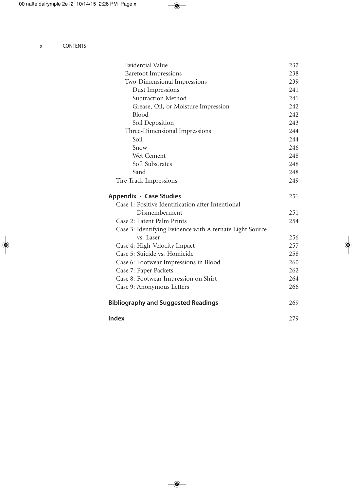| <b>Evidential Value</b>                                  | 237 |
|----------------------------------------------------------|-----|
| <b>Barefoot Impressions</b>                              | 238 |
| Two-Dimensional Impressions                              | 239 |
| Dust Impressions                                         | 241 |
| Subtraction Method                                       | 241 |
| Grease, Oil, or Moisture Impression                      | 242 |
| Blood                                                    | 242 |
| Soil Deposition                                          | 243 |
| Three-Dimensional Impressions                            | 244 |
| Soil                                                     | 244 |
| Snow                                                     | 246 |
| <b>Wet Cement</b>                                        | 248 |
| Soft Substrates                                          | 248 |
| Sand                                                     | 248 |
| Tire Track Impressions                                   | 249 |
| Appendix · Case Studies                                  | 251 |
| Case 1: Positive Identification after Intentional        |     |
| Dismemberment                                            | 251 |
| Case 2: Latent Palm Prints                               | 254 |
| Case 3: Identifying Evidence with Alternate Light Source |     |
| vs. Laser                                                | 256 |
| Case 4: High-Velocity Impact                             | 257 |
| Case 5: Suicide vs. Homicide                             | 258 |
| Case 6: Footwear Impressions in Blood                    | 260 |
| Case 7: Paper Packets                                    | 262 |
| Case 8: Footwear Impression on Shirt                     | 264 |
| Case 9: Anonymous Letters                                | 266 |
| <b>Bibliography and Suggested Readings</b>               | 269 |
| <b>Index</b>                                             | 279 |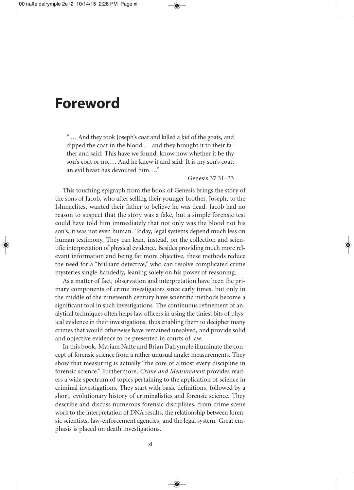### **Foreword**

" ... And they took Joseph's coat and killed a kid of the goats, and dipped the coat in the blood ... and they brought it to their father and said: This have we found: know now whether it be thy son's coat or no.... And he knew it and said: It is my son's coat; an evil beast has devoured him...."

#### Genesis 37:31–33

This touching epigraph from the book of Genesis brings the story of the sons of Jacob, who after selling their younger brother, Joseph, to the Ishmaelites, wanted their father to believe he was dead. Jacob had no reason to suspect that the story was a fake, but a simple forensic test could have told him immediately that not only was the blood not his son's, it was not even human. Today, legal systems depend much less on human testimony. They can lean, instead, on the collection and scientific interpretation of physical evidence. Besides providing much more relevant information and being far more objective, these methods reduce the need for a "brilliant detective," who can resolve complicated crime mysteries single-handedly, leaning solely on his power of reasoning.

As a matter of fact, observation and interpretation have been the primary components of crime investigators since early times, but only in the middle of the nineteenth century have scientific methods become a significant tool in such investigations. The continuous refinement of analytical techniques often helps law officers in using the tiniest bits of physical evidence in their investigations, thus enabling them to decipher many crimes that would otherwise have remained unsolved, and provide solid and objective evidence to be presented in courts of law.

In this book, Myriam Nafte and Brian Dalrymple illuminate the concept of forensic science from a rather unusual angle: measurements. They show that measuring is actually "the core of almost every discipline in forensic science." Furthermore, *Crime and Measurement* provides readers a wide spectrum of topics pertaining to the application of science in criminal investigations. They start with basic definitions, followed by a short, evolutionary history of criminalistics and forensic science. They describe and discuss numerous forensic disciplines, from crime scene work to the interpretation of DNA results, the relationship between forensic scientists, law-enforcement agencies, and the legal system. Great emphasis is placed on death investigations.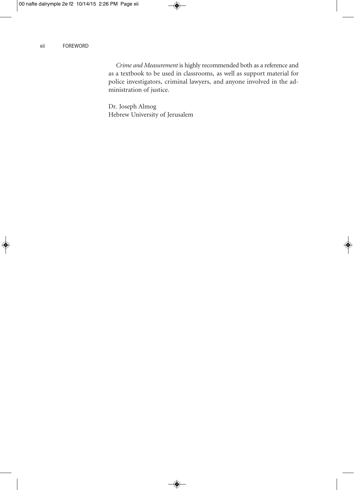*Crime and Measurement* is highly recommended both as a reference and as a textbook to be used in classrooms, as well as support material for police investigators, criminal lawyers, and anyone involved in the administration of justice.

Dr. Joseph Almog Hebrew University of Jerusalem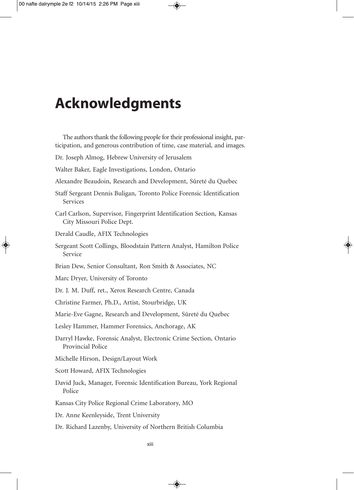# **Acknowledgments**

| The authors thank the following people for their professional insight, par-<br>ticipation, and generous contribution of time, case material, and images. |
|----------------------------------------------------------------------------------------------------------------------------------------------------------|
| Dr. Joseph Almog, Hebrew University of Jerusalem                                                                                                         |
| Walter Baker, Eagle Investigations, London, Ontario                                                                                                      |
| Alexandre Beaudoin, Research and Development, Sûreté du Quebec                                                                                           |
| Staff Sergeant Dennis Buligan, Toronto Police Forensic Identification<br>Services                                                                        |
| Carl Carlson, Supervisor, Fingerprint Identification Section, Kansas<br>City Missouri Police Dept.                                                       |
| Derald Caudle, AFIX Technologies                                                                                                                         |
| Sergeant Scott Collings, Bloodstain Pattern Analyst, Hamilton Police<br>Service                                                                          |
| Brian Dew, Senior Consultant, Ron Smith & Associates, NC                                                                                                 |
| Marc Dryer, University of Toronto                                                                                                                        |
| Dr. J. M. Duff, ret., Xerox Research Centre, Canada                                                                                                      |
| Christine Farmer, Ph.D., Artist, Stourbridge, UK                                                                                                         |
| Marie-Eve Gagne, Research and Development, Sûreté du Quebec                                                                                              |
| Lesley Hammer, Hammer Forensics, Anchorage, AK                                                                                                           |
| Darryl Hawke, Forensic Analyst, Electronic Crime Section, Ontario<br>Provincial Police                                                                   |
| Michelle Hirson, Design/Layout Work                                                                                                                      |
| Scott Howard, AFIX Technologies                                                                                                                          |
| David Juck, Manager, Forensic Identification Bureau, York Regional<br>Police                                                                             |
| Kansas City Police Regional Crime Laboratory, MO                                                                                                         |
| Dr. Anne Keenleyside, Trent University                                                                                                                   |
| Dr. Richard Lazenby, University of Northern British Columbia                                                                                             |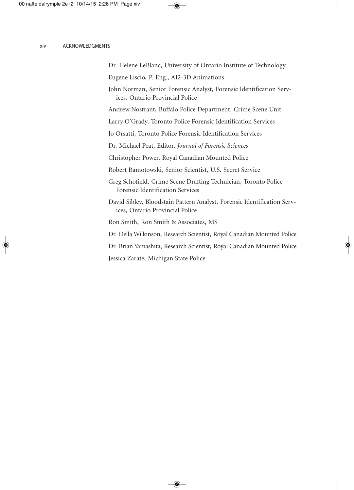Dr. Helene LeBlanc, University of Ontario Institute of Technology

Eugene Liscio, P. Eng., AI2-3D Animations

John Norman, Senior Forensic Analyst, Forensic Identification Services, Ontario Provincial Police

Andrew Nostrant, Buffalo Police Department. Crime Scene Unit

Larry O'Grady, Toronto Police Forensic Identification Services

Jo Orsatti, Toronto Police Forensic Identification Services

Dr. Michael Peat, Editor, *Journal of Forensic Sciences*

Christopher Power, Royal Canadian Mounted Police

- Robert Ramotowski, Senior Scientist, U.S. Secret Service
- Greg Schofield, Crime Scene Drafting Technician, Toronto Police Forensic Identification Services
- David Sibley, Bloodstain Pattern Analyst, Forensic Identification Services, Ontario Provincial Police

Ron Smith, Ron Smith & Associates, MS

Dr. Della Wilkinson, Research Scientist, Royal Canadian Mounted Police

Dr. Brian Yamashita, Research Scientist, Royal Canadian Mounted Police

Jessica Zarate, Michigan State Police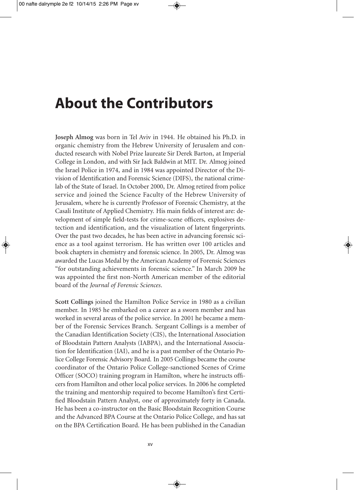### **About the Contributors**

**Joseph Almog** was born in Tel Aviv in 1944. He obtained his Ph.D. in organic chemistry from the Hebrew University of Jerusalem and conducted research with Nobel Prize laureate Sir Derek Barton, at Imperial College in London, and with Sir Jack Baldwin at MIT. Dr. Almog joined the Israel Police in 1974, and in 1984 was appointed Director of the Division of Identification and Forensic Science (DIFS), the national crimelab of the State of Israel. In October 2000, Dr. Almog retired from police service and joined the Science Faculty of the Hebrew University of Jerusalem, where he is currently Professor of Forensic Chemistry, at the Casali Institute of Applied Chemistry. His main fields of interest are: development of simple field-tests for crime-scene officers, explosives detection and identification, and the visualization of latent fingerprints. Over the past two decades, he has been active in advancing forensic science as a tool against terrorism. He has written over 100 articles and book chapters in chemistry and forensic science. In 2005, Dr. Almog was awarded the Lucas Medal by the American Academy of Forensic Sciences "for outstanding achievements in forensic science." In March 2009 he was appointed the first non-North American member of the editorial board of the *Journal of Forensic Sciences*.

**Scott Collings** joined the Hamilton Police Service in 1980 as a civilian member. In 1985 he embarked on a career as a sworn member and has worked in several areas of the police service. In 2001 he became a member of the Forensic Services Branch. Sergeant Collings is a member of the Canadian Identification Society (CIS), the International Association of Bloodstain Pattern Analysts (IABPA), and the International Association for Identification (IAI), and he is a past member of the Ontario Police College Forensic Advisory Board. In 2005 Collings became the course coordinator of the Ontario Police College-sanctioned Scenes of Crime Officer (SOCO) training program in Hamilton, where he instructs officers from Hamilton and other local police services. In 2006 he completed the training and mentorship required to become Hamilton's first Certified Bloodstain Pattern Analyst, one of approximately forty in Canada. He has been a co-instructor on the Basic Bloodstain Recognition Course and the Advanced BPA Course at the Ontario Police College, and has sat on the BPA Certification Board. He has been published in the Canadian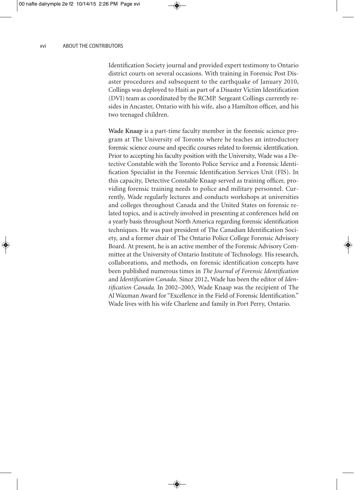Identification Society journal and provided expert testimony to Ontario district courts on several occasions. With training in Forensic Post Disaster procedures and subsequent to the earthquake of January 2010, Collings was deployed to Haiti as part of a Disaster Victim Identification (DVI) team as coordinated by the RCMP. Sergeant Collings currently resides in Ancaster, Ontario with his wife, also a Hamilton officer, and his two teenaged children.

**Wade Knaap** is a part-time faculty member in the forensic science program at The University of Toronto where he teaches an introductory forensic science course and specific courses related to forensic identification. Prior to accepting his faculty position with the University, Wade was a Detective Constable with the Toronto Police Service and a Forensic Identification Specialist in the Forensic Identification Services Unit (FIS). In this capacity, Detective Constable Knaap served as training officer, providing forensic training needs to police and military personnel. Currently, Wade regularly lectures and conducts workshops at universities and colleges throughout Canada and the United States on forensic related topics, and is actively involved in presenting at conferences held on a yearly basis throughout North America regarding forensic identification techniques. He was past president of The Canadian Identification Society, and a former chair of The Ontario Police College Forensic Advisory Board. At present, he is an active member of the Forensic Advisory Committee at the University of Ontario Institute of Technology. His research, collaborations, and methods, on forensic identification concepts have been published numerous times in *The Journal of Forensic Identification* and *Identification Canada*. Since 2012, Wade has been the editor of *Identification Canada.* In 2002–2003, Wade Knaap was the recipient of The Al Waxman Award for "Excellence in the Field of Forensic Identification." Wade lives with his wife Charlene and family in Port Perry, Ontario.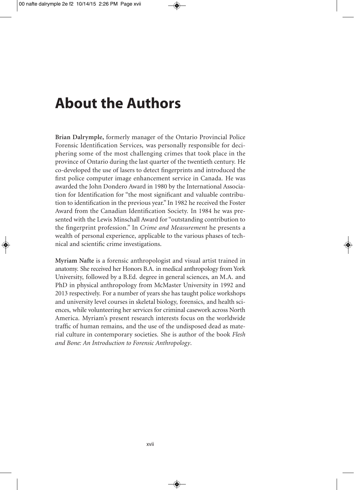## **About the Authors**

**Brian Dalrymple,** formerly manager of the Ontario Provincial Police Forensic Identification Services, was personally responsible for deciphering some of the most challenging crimes that took place in the province of Ontario during the last quarter of the twentieth century. He co-developed the use of lasers to detect fingerprints and introduced the first police computer image enhancement service in Canada. He was awarded the John Dondero Award in 1980 by the International Association for Identification for "the most significant and valuable contribution to identification in the previous year." In 1982 he received the Foster Award from the Canadian Identification Society. In 1984 he was presented with the Lewis Minschall Award for "outstanding contribution to the fingerprint profession." In *Crime and Measurement* he presents a wealth of personal experience, applicable to the various phases of technical and scientific crime investigations.

**Myriam Nafte** is a forensic anthropologist and visual artist trained in anatomy. She received her Honors B.A. in medical anthropology from York University, followed by a B.Ed. degree in general sciences, an M.A. and PhD in physical anthropology from McMaster University in 1992 and 2013 respectively. For a number of years she has taught police workshops and university level courses in skeletal biology, forensics, and health sciences, while volunteering her services for criminal casework across North America. Myriam's present research interests focus on the worldwide traffic of human remains, and the use of the undisposed dead as material culture in contemporary societies. She is author of the book *Flesh and Bone: An Introduction to Forensic Anthropology*.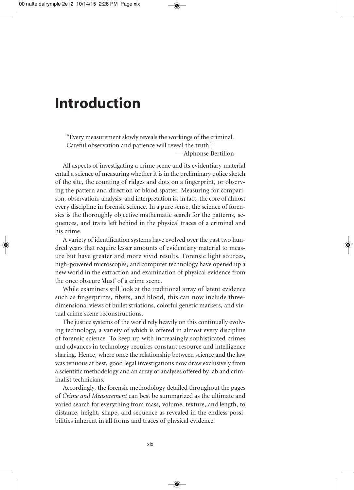## **Introduction**

"Every measurement slowly reveals the workings of the criminal. Careful observation and patience will reveal the truth." —Alphonse Bertillon

All aspects of investigating a crime scene and its evidentiary material entail a science of measuring whether it is in the preliminary police sketch of the site, the counting of ridges and dots on a fingerprint, or observing the pattern and direction of blood spatter. Measuring for comparison, observation, analysis, and interpretation is, in fact, the core of almost every discipline in forensic science. In a pure sense, the science of forensics is the thoroughly objective mathematic search for the patterns, sequences, and traits left behind in the physical traces of a criminal and his crime.

A variety of identification systems have evolved over the past two hundred years that require lesser amounts of evidentiary material to measure but have greater and more vivid results. Forensic light sources, high-powered microscopes, and computer technology have opened up a new world in the extraction and examination of physical evidence from the once obscure 'dust' of a crime scene.

While examiners still look at the traditional array of latent evidence such as fingerprints, fibers, and blood, this can now include threedimensional views of bullet striations, colorful genetic markers, and virtual crime scene reconstructions.

The justice systems of the world rely heavily on this continually evolving technology, a variety of which is offered in almost every discipline of forensic science. To keep up with increasingly sophisticated crimes and advances in technology requires constant resource and intelligence sharing. Hence, where once the relationship between science and the law was tenuous at best, good legal investigations now draw exclusively from a scientific methodology and an array of analyses offered by lab and criminalist technicians.

Accordingly, the forensic methodology detailed throughout the pages of *Crime and Measurement* can best be summarized as the ultimate and varied search for everything from mass, volume, texture, and length, to distance, height, shape, and sequence as revealed in the endless possibilities inherent in all forms and traces of physical evidence.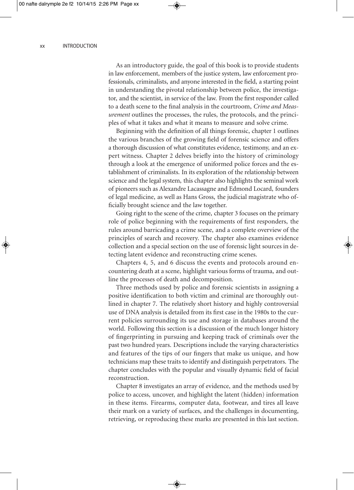As an introductory guide, the goal of this book is to provide students in law enforcement, members of the justice system, law enforcement professionals, criminalists, and anyone interested in the field, a starting point in understanding the pivotal relationship between police, the investigator, and the scientist, in service of the law. From the first responder called to a death scene to the final analysis in the courtroom, *Crime and Measurement* outlines the processes, the rules, the protocols, and the principles of what it takes and what it means to measure and solve crime.

Beginning with the definition of all things forensic, chapter 1 outlines the various branches of the growing field of forensic science and offers a thorough discussion of what constitutes evidence, testimony, and an expert witness. Chapter 2 delves briefly into the history of criminology through a look at the emergence of uniformed police forces and the establishment of criminalists. In its exploration of the relationship between science and the legal system, this chapter also highlights the seminal work of pioneers such as Alexandre Lacassagne and Edmond Locard, founders of legal medicine, as well as Hans Gross, the judicial magistrate who officially brought science and the law together.

Going right to the scene of the crime, chapter 3 focuses on the primary role of police beginning with the requirements of first responders, the rules around barricading a crime scene, and a complete overview of the principles of search and recovery. The chapter also examines evidence collection and a special section on the use of forensic light sources in detecting latent evidence and reconstructing crime scenes.

Chapters 4, 5, and 6 discuss the events and protocols around encountering death at a scene, highlight various forms of trauma, and outline the processes of death and decomposition.

Three methods used by police and forensic scientists in assigning a positive identification to both victim and criminal are thoroughly outlined in chapter 7. The relatively short history and highly controversial use of DNA analysis is detailed from its first case in the 1980s to the current policies surrounding its use and storage in databases around the world. Following this section is a discussion of the much longer history of fingerprinting in pursuing and keeping track of criminals over the past two hundred years. Descriptions include the varying characteristics and features of the tips of our fingers that make us unique, and how technicians map these traits to identify and distinguish perpetrators. The chapter concludes with the popular and visually dynamic field of facial reconstruction.

Chapter 8 investigates an array of evidence, and the methods used by police to access, uncover, and highlight the latent (hidden) information in these items. Firearms, computer data, footwear, and tires all leave their mark on a variety of surfaces, and the challenges in documenting, retrieving, or reproducing these marks are presented in this last section.